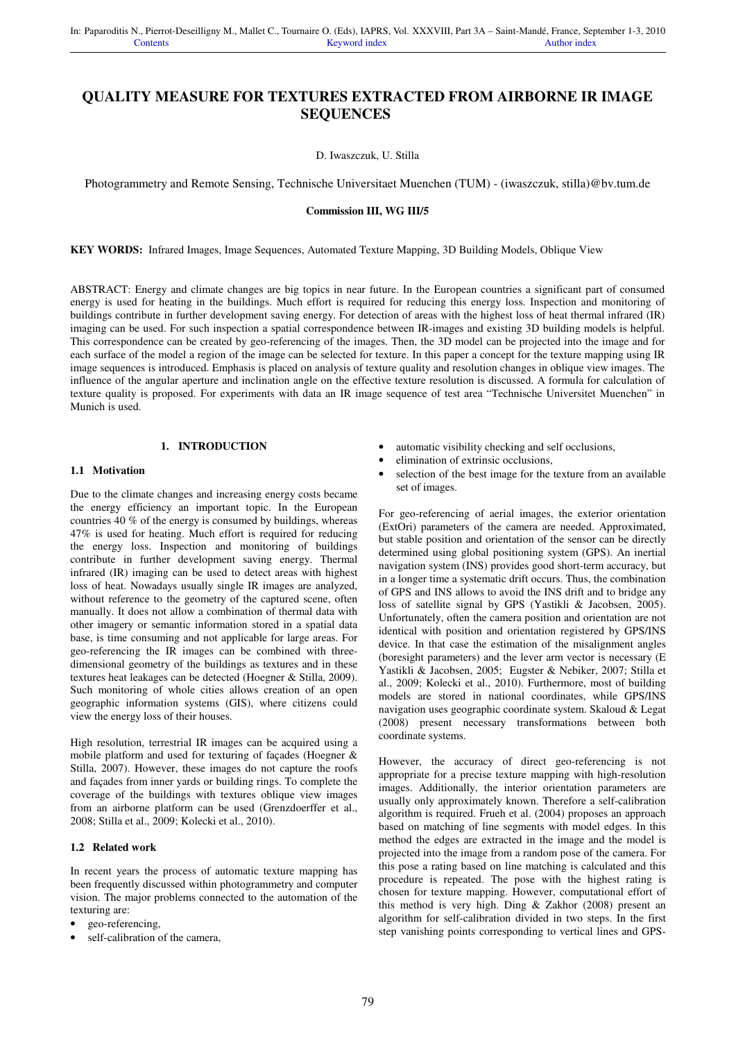# **QUALITY MEASURE FOR TEXTURES EXTRACTED FROM AIRBORNE IR IMAGE SEQUENCES**

D. Iwaszczuk, U. Stilla

Photogrammetry and Remote Sensing, Technische Universitaet Muenchen (TUM) - (iwaszczuk, stilla)@bv.tum.de

#### **Commission III, WG III/5**

**KEY WORDS:** Infrared Images, Image Sequences, Automated Texture Mapping, 3D Building Models, Oblique View

ABSTRACT: Energy and climate changes are big topics in near future. In the European countries a significant part of consumed energy is used for heating in the buildings. Much effort is required for reducing this energy loss. Inspection and monitoring of buildings contribute in further development saving energy. For detection of areas with the highest loss of heat thermal infrared (IR) imaging can be used. For such inspection a spatial correspondence between IR-images and existing 3D building models is helpful. This correspondence can be created by geo-referencing of the images. Then, the 3D model can be projected into the image and for each surface of the model a region of the image can be selected for texture. In this paper a concept for the texture mapping using IR image sequences is introduced. Emphasis is placed on analysis of texture quality and resolution changes in oblique view images. The influence of the angular aperture and inclination angle on the effective texture resolution is discussed. A formula for calculation of texture quality is proposed. For experiments with data an IR image sequence of test area "Technische Universitet Muenchen" in Munich is used.

# **1. INTRODUCTION**

#### **1.1 Motivation**

Due to the climate changes and increasing energy costs became the energy efficiency an important topic. In the European countries 40 % of the energy is consumed by buildings, whereas 47% is used for heating. Much effort is required for reducing the energy loss. Inspection and monitoring of buildings contribute in further development saving energy. Thermal infrared (IR) imaging can be used to detect areas with highest loss of heat. Nowadays usually single IR images are analyzed, without reference to the geometry of the captured scene, often manually. It does not allow a combination of thermal data with other imagery or semantic information stored in a spatial data base, is time consuming and not applicable for large areas. For geo-referencing the IR images can be combined with threedimensional geometry of the buildings as textures and in these textures heat leakages can be detected (Hoegner & Stilla, 2009). Such monitoring of whole cities allows creation of an open geographic information systems (GIS), where citizens could view the energy loss of their houses.

High resolution, terrestrial IR images can be acquired using a mobile platform and used for texturing of façades (Hoegner & Stilla, 2007). However, these images do not capture the roofs and façades from inner yards or building rings. To complete the coverage of the buildings with textures oblique view images from an airborne platform can be used (Grenzdoerffer et al., 2008; Stilla et al., 2009; Kolecki et al., 2010).

## **1.2 Related work**

In recent years the process of automatic texture mapping has been frequently discussed within photogrammetry and computer vision. The major problems connected to the automation of the texturing are:

- geo-referencing,
- self-calibration of the camera,
- automatic visibility checking and self occlusions,
- elimination of extrinsic occlusions,
- selection of the best image for the texture from an available set of images.

For geo-referencing of aerial images, the exterior orientation (ExtOri) parameters of the camera are needed. Approximated, but stable position and orientation of the sensor can be directly determined using global positioning system (GPS). An inertial navigation system (INS) provides good short-term accuracy, but in a longer time a systematic drift occurs. Thus, the combination of GPS and INS allows to avoid the INS drift and to bridge any loss of satellite signal by GPS (Yastikli & Jacobsen, 2005). Unfortunately, often the camera position and orientation are not identical with position and orientation registered by GPS/INS device. In that case the estimation of the misalignment angles (boresight parameters) and the lever arm vector is necessary (E Yastikli & Jacobsen, 2005; Eugster & Nebiker, 2007; Stilla et al., 2009; Kolecki et al., 2010). Furthermore, most of building models are stored in national coordinates, while GPS/INS navigation uses geographic coordinate system. Skaloud & Legat (2008) present necessary transformations between both coordinate systems.

However, the accuracy of direct geo-referencing is not appropriate for a precise texture mapping with high-resolution images. Additionally, the interior orientation parameters are usually only approximately known. Therefore a self-calibration algorithm is required. Frueh et al. (2004) proposes an approach based on matching of line segments with model edges. In this method the edges are extracted in the image and the model is projected into the image from a random pose of the camera. For this pose a rating based on line matching is calculated and this procedure is repeated. The pose with the highest rating is chosen for texture mapping. However, computational effort of this method is very high. Ding & Zakhor (2008) present an algorithm for self-calibration divided in two steps. In the first step vanishing points corresponding to vertical lines and GPS-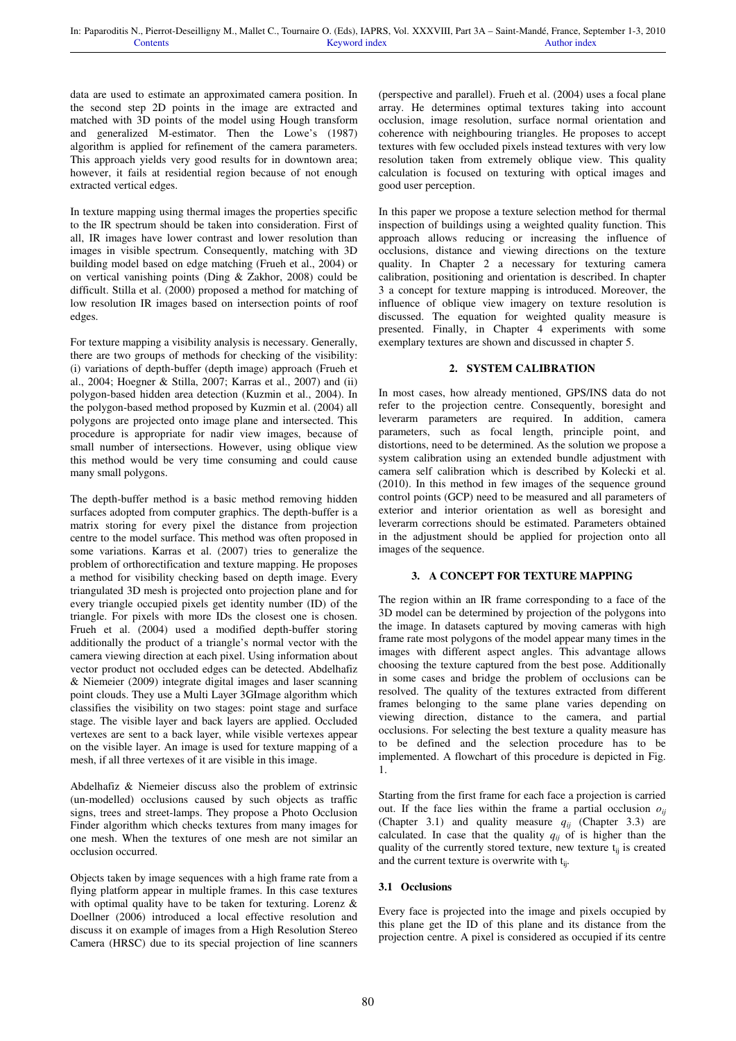data are used to estimate an approximated camera position. In the second step 2D points in the image are extracted and matched with 3D points of the model using Hough transform and generalized M-estimator. Then the Lowe's (1987) algorithm is applied for refinement of the camera parameters. This approach yields very good results for in downtown area; however, it fails at residential region because of not enough extracted vertical edges.

In texture mapping using thermal images the properties specific to the IR spectrum should be taken into consideration. First of all, IR images have lower contrast and lower resolution than images in visible spectrum. Consequently, matching with 3D building model based on edge matching (Frueh et al., 2004) or on vertical vanishing points (Ding & Zakhor, 2008) could be difficult. Stilla et al. (2000) proposed a method for matching of low resolution IR images based on intersection points of roof edges.

For texture mapping a visibility analysis is necessary. Generally, there are two groups of methods for checking of the visibility: (i) variations of depth-buffer (depth image) approach (Frueh et al., 2004; Hoegner & Stilla, 2007; Karras et al., 2007) and (ii) polygon-based hidden area detection (Kuzmin et al., 2004). In the polygon-based method proposed by Kuzmin et al. (2004) all polygons are projected onto image plane and intersected. This procedure is appropriate for nadir view images, because of small number of intersections. However, using oblique view this method would be very time consuming and could cause many small polygons.

The depth-buffer method is a basic method removing hidden surfaces adopted from computer graphics. The depth-buffer is a matrix storing for every pixel the distance from projection centre to the model surface. This method was often proposed in some variations. Karras et al. (2007) tries to generalize the problem of orthorectification and texture mapping. He proposes a method for visibility checking based on depth image. Every triangulated 3D mesh is projected onto projection plane and for every triangle occupied pixels get identity number (ID) of the triangle. For pixels with more IDs the closest one is chosen. Frueh et al. (2004) used a modified depth-buffer storing additionally the product of a triangle's normal vector with the camera viewing direction at each pixel. Using information about vector product not occluded edges can be detected. Abdelhafiz & Niemeier (2009) integrate digital images and laser scanning point clouds. They use a Multi Layer 3GImage algorithm which classifies the visibility on two stages: point stage and surface stage. The visible layer and back layers are applied. Occluded vertexes are sent to a back layer, while visible vertexes appear on the visible layer. An image is used for texture mapping of a mesh, if all three vertexes of it are visible in this image.

Abdelhafiz & Niemeier discuss also the problem of extrinsic (un-modelled) occlusions caused by such objects as traffic signs, trees and street-lamps. They propose a Photo Occlusion Finder algorithm which checks textures from many images for one mesh. When the textures of one mesh are not similar an occlusion occurred.

Objects taken by image sequences with a high frame rate from a flying platform appear in multiple frames. In this case textures with optimal quality have to be taken for texturing. Lorenz & Doellner (2006) introduced a local effective resolution and discuss it on example of images from a High Resolution Stereo Camera (HRSC) due to its special projection of line scanners

(perspective and parallel). Frueh et al. (2004) uses a focal plane array. He determines optimal textures taking into account occlusion, image resolution, surface normal orientation and coherence with neighbouring triangles. He proposes to accept textures with few occluded pixels instead textures with very low resolution taken from extremely oblique view. This quality calculation is focused on texturing with optical images and good user perception.

In this paper we propose a texture selection method for thermal inspection of buildings using a weighted quality function. This approach allows reducing or increasing the influence of occlusions, distance and viewing directions on the texture quality. In Chapter 2 a necessary for texturing camera calibration, positioning and orientation is described. In chapter 3 a concept for texture mapping is introduced. Moreover, the influence of oblique view imagery on texture resolution is discussed. The equation for weighted quality measure is presented. Finally, in Chapter 4 experiments with some exemplary textures are shown and discussed in chapter 5.

## **2. SYSTEM CALIBRATION**

In most cases, how already mentioned, GPS/INS data do not refer to the projection centre. Consequently, boresight and leverarm parameters are required. In addition, camera parameters, such as focal length, principle point, and distortions, need to be determined. As the solution we propose a system calibration using an extended bundle adjustment with camera self calibration which is described by Kolecki et al. (2010). In this method in few images of the sequence ground control points (GCP) need to be measured and all parameters of exterior and interior orientation as well as boresight and leverarm corrections should be estimated. Parameters obtained in the adjustment should be applied for projection onto all images of the sequence.

## **3. A CONCEPT FOR TEXTURE MAPPING**

The region within an IR frame corresponding to a face of the 3D model can be determined by projection of the polygons into the image. In datasets captured by moving cameras with high frame rate most polygons of the model appear many times in the images with different aspect angles. This advantage allows choosing the texture captured from the best pose. Additionally in some cases and bridge the problem of occlusions can be resolved. The quality of the textures extracted from different frames belonging to the same plane varies depending on viewing direction, distance to the camera, and partial occlusions. For selecting the best texture a quality measure has to be defined and the selection procedure has to be implemented. A flowchart of this procedure is depicted in Fig. 1.

Starting from the first frame for each face a projection is carried out. If the face lies within the frame a partial occlusion  $\rho_{ii}$ (Chapter 3.1) and quality measure  $q_{ii}$  (Chapter 3.3) are calculated. In case that the quality  $q_{ii}$  of is higher than the quality of the currently stored texture, new texture  $t_{ii}$  is created and the current texture is overwrite with  $t_{ii}$ .

## **3.1 Occlusions**

Every face is projected into the image and pixels occupied by this plane get the ID of this plane and its distance from the projection centre. A pixel is considered as occupied if its centre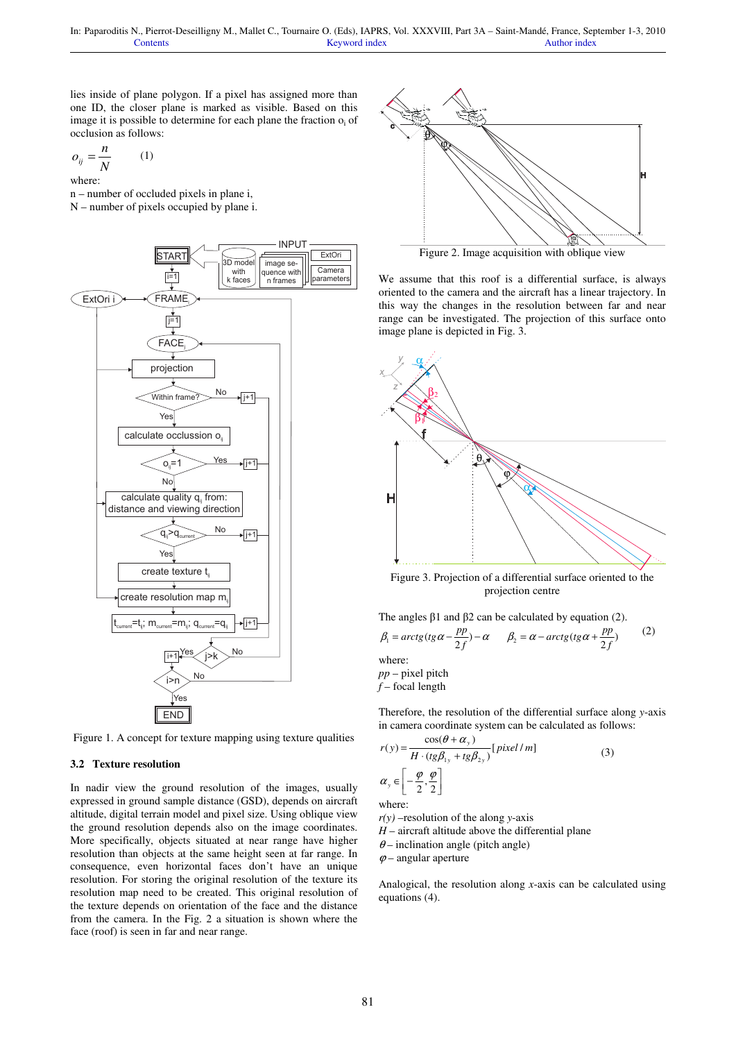lies inside of plane polygon. If a pixel has assigned more than one ID, the closer plane is marked as visible. Based on this image it is possible to determine for each plane the fraction  $o_i$  of occlusion as follows:

$$
o_{ij} = \frac{n}{N} \qquad (1)
$$

where:

n – number of occluded pixels in plane i, N – number of pixels occupied by plane i.



Figure 1. A concept for texture mapping using texture qualities

#### **3.2 Texture resolution**

In nadir view the ground resolution of the images, usually expressed in ground sample distance (GSD), depends on aircraft altitude, digital terrain model and pixel size. Using oblique view the ground resolution depends also on the image coordinates. More specifically, objects situated at near range have higher resolution than objects at the same height seen at far range. In consequence, even horizontal faces don't have an unique resolution. For storing the original resolution of the texture its resolution map need to be created. This original resolution of the texture depends on orientation of the face and the distance from the camera. In the Fig. 2 a situation is shown where the face (roof) is seen in far and near range.



Figure 2. Image acquisition with oblique view

We assume that this roof is a differential surface, is always oriented to the camera and the aircraft has a linear trajectory. In this way the changes in the resolution between far and near range can be investigated. The projection of this surface onto image plane is depicted in Fig. 3.



Figure 3. Projection of a differential surface oriented to the projection centre

The angles β1 and β2 can be calculated by equation (2).

$$
\beta_1 = \arctg(tg\alpha - \frac{pp}{2f}) - \alpha \qquad \beta_2 = \alpha - \arctg(tg\alpha + \frac{pp}{2f}) \tag{2}
$$
  
where:  
pp - pixel pitch

*f* – focal length

Therefore, the resolution of the differential surface along *y*-axis in camera coordinate system can be calculated as follows:

$$
r(y) = \frac{\cos(\theta + \alpha_y)}{H \cdot (tg\beta_{1y} + tg\beta_{2y})} [pixel/m]
$$
\n(3)  
\n
$$
\alpha_y \in \left[-\frac{\varphi}{2}, \frac{\varphi}{2}\right]
$$
\nwhere:  
\n
$$
r(y)
$$
 -resolution of the along y-axis

*H* – aircraft altitude above the differential plane

 $\theta$  – inclination angle (pitch angle)

 $\varphi$  – angular aperture

Analogical, the resolution along *x*-axis can be calculated using equations (4).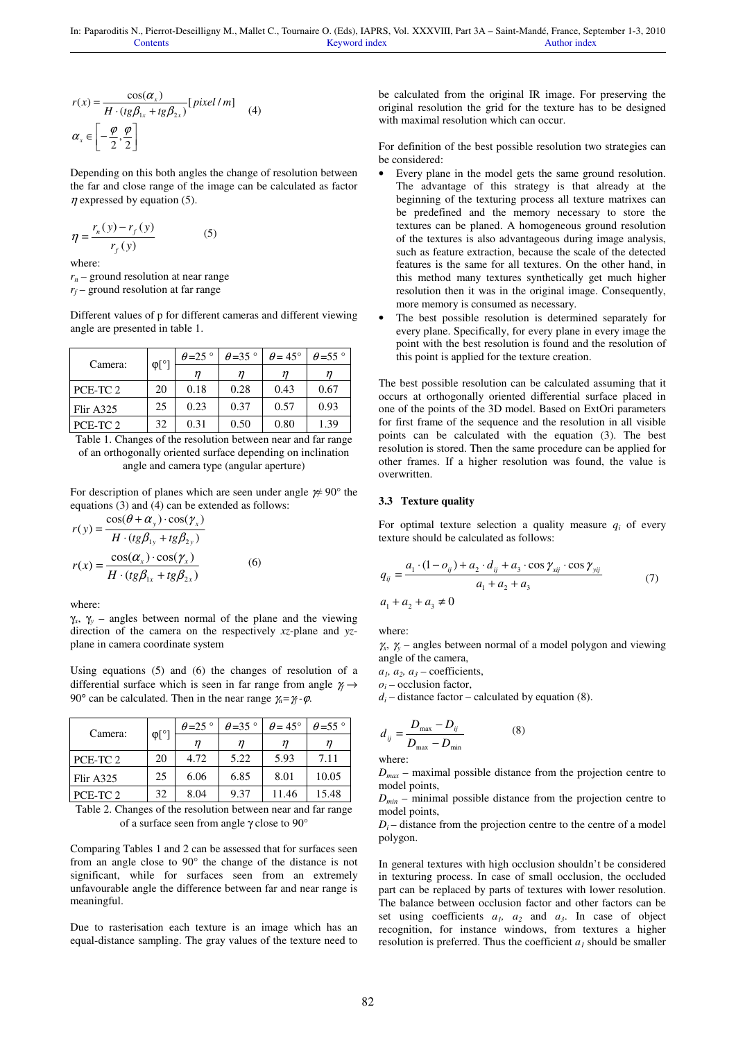$$
r(x) = \frac{\cos(\alpha_x)}{H \cdot (tg\beta_{1x} + tg\beta_{2x})} [pixel/m]
$$
 (4)  

$$
\alpha_x \in \left[ -\frac{\varphi}{2}, \frac{\varphi}{2} \right]
$$

Depending on this both angles the change of resolution between the far and close range of the image can be calculated as factor  $\eta$  expressed by equation (5).

$$
\eta = \frac{r_n(y) - r_f(y)}{r_f(y)}\tag{5}
$$

where:

*rn* – ground resolution at near range *rf* – ground resolution at far range

Different values of p for different cameras and different viewing angle are presented in table 1.

| Camera:   | $\varphi$ [° | $\theta = 25$ ° | $\theta = 35$ ° | $\theta$ = 45° | $\theta$ =55 $^{\circ}$ |
|-----------|--------------|-----------------|-----------------|----------------|-------------------------|
|           |              |                 |                 |                |                         |
| PCE-TC 2  | 20           | 0.18            | 0.28            | 0.43           | 0.67                    |
| Flir A325 | 25           | 0.23            | 0.37            | 0.57           | 0.93                    |
| PCE-TC 2  | 32           | 0.31            | 0.50            | 0.80           | 1.39                    |

Table 1. Changes of the resolution between near and far range of an orthogonally oriented surface depending on inclination angle and camera type (angular aperture)

For description of planes which are seen under angle  $\frac{\cancel{p}}{4}$  90° the equations (3) and (4) can be extended as follows:

$$
r(y) = \frac{\cos(\theta + \alpha_y) \cdot \cos(\gamma_x)}{H \cdot (tg\beta_{1y} + tg\beta_{2y})}
$$

$$
r(x) = \frac{\cos(\alpha_x) \cdot \cos(\gamma_x)}{H \cdot (tg\beta_{1x} + tg\beta_{2x})}
$$
(6)

where:

γ*x* , γ*<sup>y</sup>* – angles between normal of the plane and the viewing direction of the camera on the respectively *xz*-plane and *yz*plane in camera coordinate system

Using equations (5) and (6) the changes of resolution of a differential surface which is seen in far range from angle γ*f* → 90° can be calculated. Then in the near range  $\chi = \gamma_f - \varphi$ .

| Camera:   | $\varphi$ [°] | $\theta = 25$ | $\theta = 35$ ° | $\theta$ = 45° | $\theta$ =55 $^{\circ}$ |
|-----------|---------------|---------------|-----------------|----------------|-------------------------|
|           |               |               |                 |                |                         |
| PCE-TC 2  | 20            | 4.72          | 5.22            | 5.93           | 7.11                    |
| Flir A325 | 25            | 6.06          | 6.85            | 8.01           | 10.05                   |
| PCE-TC 2  | 32            | 8.04          | 9.37            | 11.46          | 15.48                   |

Table 2. Changes of the resolution between near and far range of a surface seen from angle γ close to 90°

Comparing Tables 1 and 2 can be assessed that for surfaces seen from an angle close to 90° the change of the distance is not significant, while for surfaces seen from an extremely unfavourable angle the difference between far and near range is meaningful.

Due to rasterisation each texture is an image which has an equal-distance sampling. The gray values of the texture need to be calculated from the original IR image. For preserving the original resolution the grid for the texture has to be designed with maximal resolution which can occur.

For definition of the best possible resolution two strategies can be considered:

- Every plane in the model gets the same ground resolution. The advantage of this strategy is that already at the beginning of the texturing process all texture matrixes can be predefined and the memory necessary to store the textures can be planed. A homogeneous ground resolution of the textures is also advantageous during image analysis, such as feature extraction, because the scale of the detected features is the same for all textures. On the other hand, in this method many textures synthetically get much higher resolution then it was in the original image. Consequently, more memory is consumed as necessary.
- The best possible resolution is determined separately for every plane. Specifically, for every plane in every image the point with the best resolution is found and the resolution of this point is applied for the texture creation.

The best possible resolution can be calculated assuming that it occurs at orthogonally oriented differential surface placed in one of the points of the 3D model. Based on ExtOri parameters for first frame of the sequence and the resolution in all visible points can be calculated with the equation (3). The best resolution is stored. Then the same procedure can be applied for other frames. If a higher resolution was found, the value is overwritten.

#### **3.3 Texture quality**

For optimal texture selection a quality measure  $q_i$  of every texture should be calculated as follows:

$$
q_{ij} = \frac{a_1 \cdot (1 - o_{ij}) + a_2 \cdot d_{ij} + a_3 \cdot \cos \gamma_{xij} \cdot \cos \gamma_{yij}}{a_1 + a_2 + a_3} \tag{7}
$$

where:

 $\gamma_x$ ,  $\gamma_y$  – angles between normal of a model polygon and viewing angle of the camera,

 $a_1$ ,  $a_2$ ,  $a_3$  – coefficients,

 $o_i$  – occlusion factor,

 $d_i$  – distance factor – calculated by equation (8).

$$
d_{ij} = \frac{D_{\text{max}} - D_{ij}}{D_{\text{max}} - D_{\text{min}}} \tag{8}
$$

where:

 $D_{\textit{max}}$  – maximal possible distance from the projection centre to model points,

 $D_{min}$  – minimal possible distance from the projection centre to model points,

 $D_i$  – distance from the projection centre to the centre of a model polygon.

In general textures with high occlusion shouldn't be considered in texturing process. In case of small occlusion, the occluded part can be replaced by parts of textures with lower resolution. The balance between occlusion factor and other factors can be set using coefficients  $a_1$ ,  $a_2$  and  $a_3$ . In case of object recognition, for instance windows, from textures a higher resolution is preferred. Thus the coefficient  $a<sub>l</sub>$  should be smaller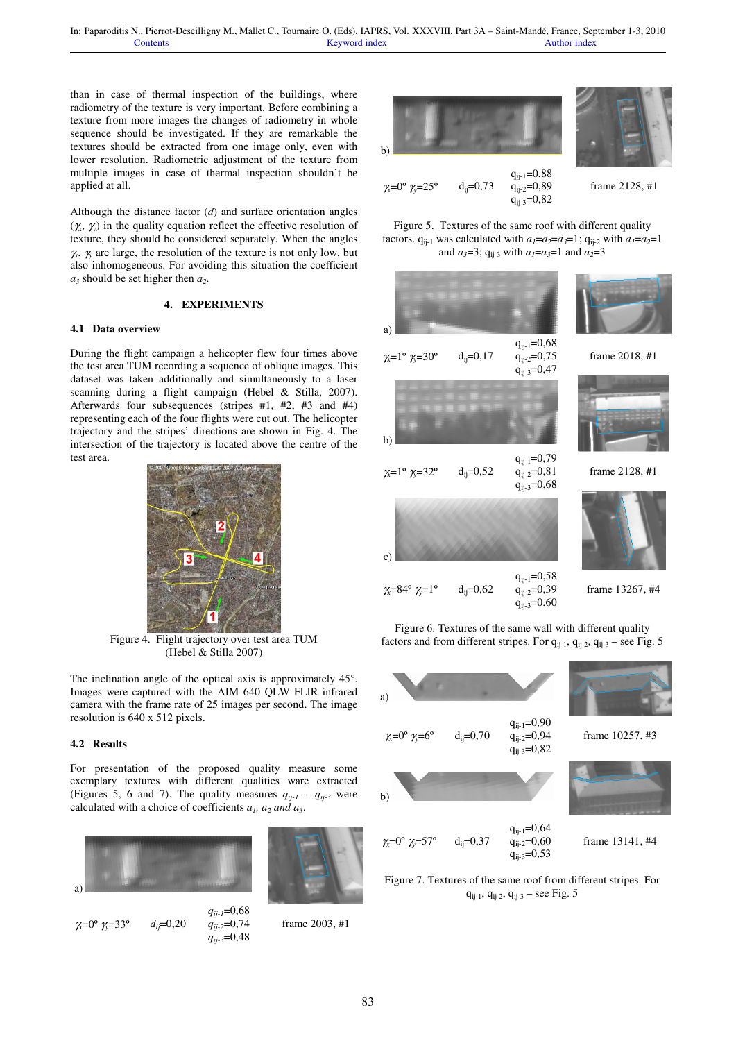than in case of thermal inspection of the buildings, where radiometry of the texture is very important. Before combining a texture from more images the changes of radiometry in whole sequence should be investigated. If they are remarkable the textures should be extracted from one image only, even with lower resolution. Radiometric adjustment of the texture from multiple images in case of thermal inspection shouldn't be applied at all.

Although the distance factor (*d*) and surface orientation angles (γ*x* , γ*<sup>y</sup>* ) in the quality equation reflect the effective resolution of texture, they should be considered separately. When the angles  $\gamma_x$ ,  $\gamma_y$  are large, the resolution of the texture is not only low, but also inhomogeneous. For avoiding this situation the coefficient *a3* should be set higher then *a<sup>2</sup>* .

## **4. EXPERIMENTS**

#### **4.1 Data overview**

During the flight campaign a helicopter flew four times above the test area TUM recording a sequence of oblique images. This dataset was taken additionally and simultaneously to a laser scanning during a flight campaign (Hebel & Stilla, 2007). Afterwards four subsequences (stripes #1, #2, #3 and #4) representing each of the four flights were cut out. The helicopter trajectory and the stripes' directions are shown in Fig. 4. The intersection of the trajectory is located above the centre of the test area.



Figure 4. Flight trajectory over test area TUM (Hebel & Stilla 2007)

The inclination angle of the optical axis is approximately 45°. Images were captured with the AIM 640 QLW FLIR infrared camera with the frame rate of 25 images per second. The image resolution is 640 x 512 pixels.

## **4.2 Results**

For presentation of the proposed quality measure some exemplary textures with different qualities ware extracted (Figures 5, 6 and 7). The quality measures  $q_{ij-l} - q_{ij-3}$  were calculated with a choice of coefficients  $a_1$ ,  $a_2$  and  $a_3$ .



<sup>γ</sup>*x*=0º γ*y*=33º *dij*=0,20 *qij-1*=0,68 *qij-2*=0,74 *qij-3*=0,48



frame 2003, #1



Figure 5. Textures of the same roof with different quality factors.  $q_{ii-1}$  was calculated with  $a_1 = a_2 = a_3 = 1$ ;  $q_{ii-2}$  with  $a_1 = a_2 = 1$ and  $a_3=3$ ;  $q_{ii-3}$  with  $a_1=a_3=1$  and  $a_2=3$ 



Figure 6. Textures of the same wall with different quality factors and from different stripes. For  $q_{ii-1}$ ,  $q_{ii-2}$ ,  $q_{ii-3}$  – see Fig. 5



Figure 7. Textures of the same roof from different stripes. For  $q_{ij-1}$ ,  $q_{ij-2}$ ,  $q_{ij-3}$  – see Fig. 5